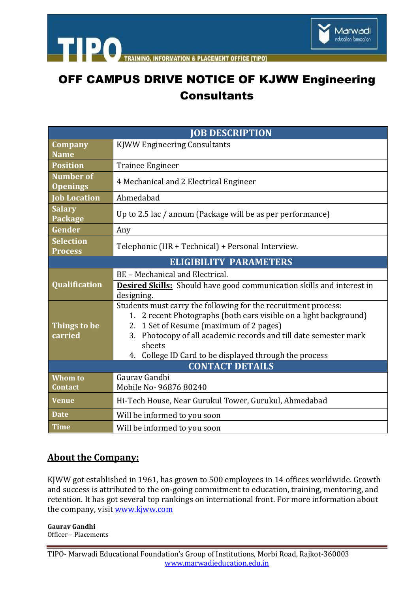

& PLACEMENT OFFICE ITIPOT **INFORMATION** 

## OFF CAMPUS DRIVE NOTICE OF KJWW Engineering **Consultants**

| <b>JOB DESCRIPTION</b>             |                                                                                                                                                                                                                                                                                                                              |
|------------------------------------|------------------------------------------------------------------------------------------------------------------------------------------------------------------------------------------------------------------------------------------------------------------------------------------------------------------------------|
| <b>Company</b><br><b>Name</b>      | <b>KJWW Engineering Consultants</b>                                                                                                                                                                                                                                                                                          |
| <b>Position</b>                    | <b>Trainee Engineer</b>                                                                                                                                                                                                                                                                                                      |
| Number of<br><b>Openings</b>       | 4 Mechanical and 2 Electrical Engineer                                                                                                                                                                                                                                                                                       |
| <b>Job Location</b>                | Ahmedabad                                                                                                                                                                                                                                                                                                                    |
| <b>Salary</b><br>Package           | Up to 2.5 lac / annum (Package will be as per performance)                                                                                                                                                                                                                                                                   |
| Gender                             | Any                                                                                                                                                                                                                                                                                                                          |
| <b>Selection</b><br><b>Process</b> | Telephonic (HR + Technical) + Personal Interview.                                                                                                                                                                                                                                                                            |
| <b>ELIGIBILITY PARAMETERS</b>      |                                                                                                                                                                                                                                                                                                                              |
| Qualification                      | BE - Mechanical and Electrical.                                                                                                                                                                                                                                                                                              |
|                                    | <b>Desired Skills:</b> Should have good communication skills and interest in<br>designing.                                                                                                                                                                                                                                   |
| Things to be<br>carried            | Students must carry the following for the recruitment process:<br>2 recent Photographs (both ears visible on a light background)<br>1.<br>2. 1 Set of Resume (maximum of 2 pages)<br>3. Photocopy of all academic records and till date semester mark<br>sheets<br>College ID Card to be displayed through the process<br>4. |
| <b>CONTACT DETAILS</b>             |                                                                                                                                                                                                                                                                                                                              |
| Whom to<br><b>Contact</b>          | Gauray Gandhi<br>Mobile No-96876 80240                                                                                                                                                                                                                                                                                       |
| <b>Venue</b>                       | Hi-Tech House, Near Gurukul Tower, Gurukul, Ahmedabad                                                                                                                                                                                                                                                                        |
| <b>Date</b>                        | Will be informed to you soon                                                                                                                                                                                                                                                                                                 |
| <b>Time</b>                        | Will be informed to you soon                                                                                                                                                                                                                                                                                                 |

## **About the Company:**

KJWW got established in 1961, has grown to 500 employees in 14 offices worldwide. Growth and success is attributed to the on-going commitment to education, training, mentoring, and retention. It has got several top rankings on international front. For more information about the company, visit [www.kjww.com](http://www.kjww.com/)

**Gaurav Gandhi** Officer – Placements